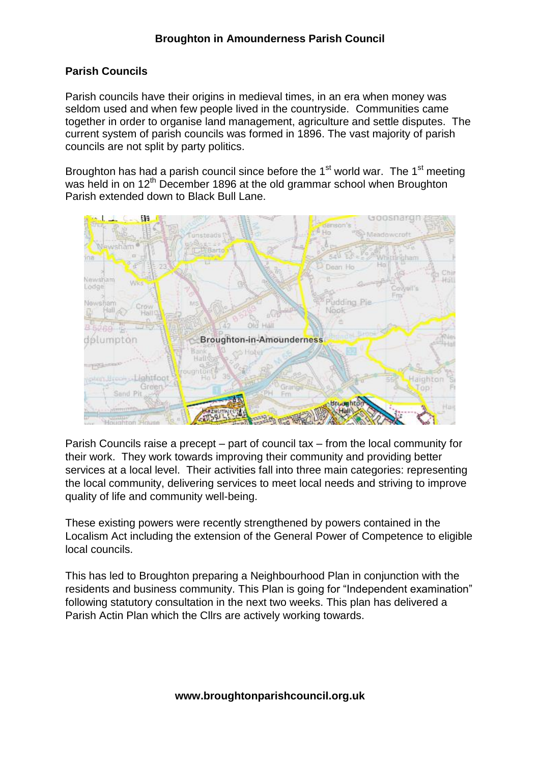## **Parish Councils**

Parish councils have their origins in medieval times, in an era when money was seldom used and when few people lived in the countryside. Communities came together in order to organise land management, agriculture and settle disputes. The current system of parish councils was formed in 1896. The vast majority of parish councils are not split by party politics.

Broughton has had a parish council since before the  $1<sup>st</sup>$  world war. The  $1<sup>st</sup>$  meeting was held in on 12<sup>th</sup> December 1896 at the old grammar school when Broughton Parish extended down to Black Bull Lane.



Parish Councils raise a precept – part of council tax – from the local community for their work. They work towards improving their community and providing better services at a local level. Their activities fall into three main categories: representing the local community, delivering services to meet local needs and striving to improve quality of life and community well-being.

These existing powers were recently strengthened by powers contained in the Localism Act including the extension of the General Power of Competence to eligible local councils.

This has led to Broughton preparing a Neighbourhood Plan in conjunction with the residents and business community. This Plan is going for "Independent examination" following statutory consultation in the next two weeks. This plan has delivered a Parish Actin Plan which the Cllrs are actively working towards.

**www.broughtonparishcouncil.org.uk**